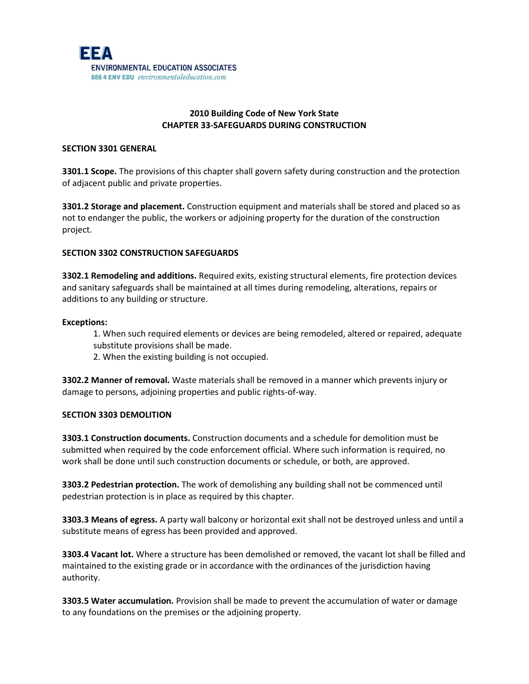

# **2010 Building Code of New York State CHAPTER 33-SAFEGUARDS DURING CONSTRUCTION**

### **SECTION 3301 GENERAL**

**3301.1 Scope.** The provisions of this chapter shall govern safety during construction and the protection of adjacent public and private properties.

**3301.2 Storage and placement.** Construction equipment and materials shall be stored and placed so as not to endanger the public, the workers or adjoining property for the duration of the construction project.

### **SECTION 3302 CONSTRUCTION SAFEGUARDS**

**3302.1 Remodeling and additions.** Required exits, existing structural elements, fire protection devices and sanitary safeguards shall be maintained at all times during remodeling, alterations, repairs or additions to any building or structure.

#### **Exceptions:**

1. When such required elements or devices are being remodeled, altered or repaired, adequate substitute provisions shall be made.

2. When the existing building is not occupied.

**3302.2 Manner of removal.** Waste materials shall be removed in a manner which prevents injury or damage to persons, adjoining properties and public rights-of-way.

#### **SECTION 3303 DEMOLITION**

**3303.1 Construction documents.** Construction documents and a schedule for demolition must be submitted when required by the code enforcement official. Where such information is required, no work shall be done until such construction documents or schedule, or both, are approved.

**3303.2 Pedestrian protection.** The work of demolishing any building shall not be commenced until pedestrian protection is in place as required by this chapter.

**3303.3 Means of egress.** A party wall balcony or horizontal exit shall not be destroyed unless and until a substitute means of egress has been provided and approved.

**3303.4 Vacant lot.** Where a structure has been demolished or removed, the vacant lot shall be filled and maintained to the existing grade or in accordance with the ordinances of the jurisdiction having authority.

**3303.5 Water accumulation.** Provision shall be made to prevent the accumulation of water or damage to any foundations on the premises or the adjoining property.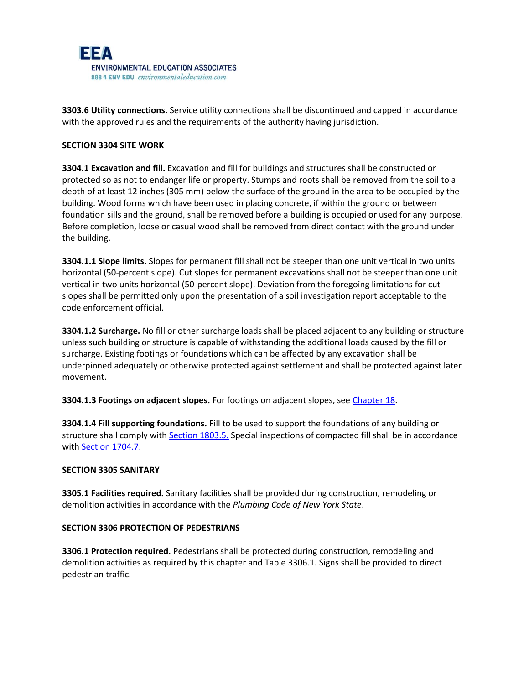

**3303.6 Utility connections.** Service utility connections shall be discontinued and capped in accordance with the approved rules and the requirements of the authority having jurisdiction.

### **SECTION 3304 SITE WORK**

**3304.1 Excavation and fill.** Excavation and fill for buildings and structures shall be constructed or protected so as not to endanger life or property. Stumps and roots shall be removed from the soil to a depth of at least 12 inches (305 mm) below the surface of the ground in the area to be occupied by the building. Wood forms which have been used in placing concrete, if within the ground or between foundation sills and the ground, shall be removed before a building is occupied or used for any purpose. Before completion, loose or casual wood shall be removed from direct contact with the ground under the building.

**3304.1.1 Slope limits.** Slopes for permanent fill shall not be steeper than one unit vertical in two units horizontal (50-percent slope). Cut slopes for permanent excavations shall not be steeper than one unit vertical in two units horizontal (50-percent slope). Deviation from the foregoing limitations for cut slopes shall be permitted only upon the presentation of a soil investigation report acceptable to the code enforcement official.

**3304.1.2 Surcharge.** No fill or other surcharge loads shall be placed adjacent to any building or structure unless such building or structure is capable of withstanding the additional loads caused by the fill or surcharge. Existing footings or foundations which can be affected by any excavation shall be underpinned adequately or otherwise protected against settlement and shall be protected against later movement.

**3304.1.3 Footings on adjacent slopes.** For footings on adjacent slopes, see [Chapter 18.](javascript:Next()

**3304.1.4 Fill supporting foundations.** Fill to be used to support the foundations of any building or structure shall comply wit[h Section 1803.5.](javascript:Next() Special inspections of compacted fill shall be in accordance with [Section 1704.7.](javascript:Next()

#### **SECTION 3305 SANITARY**

**3305.1 Facilities required.** Sanitary facilities shall be provided during construction, remodeling or demolition activities in accordance with the *Plumbing Code of New York State*.

# **SECTION 3306 PROTECTION OF PEDESTRIANS**

**3306.1 Protection required.** Pedestrians shall be protected during construction, remodeling and demolition activities as required by this chapter and Table 3306.1. Signs shall be provided to direct pedestrian traffic.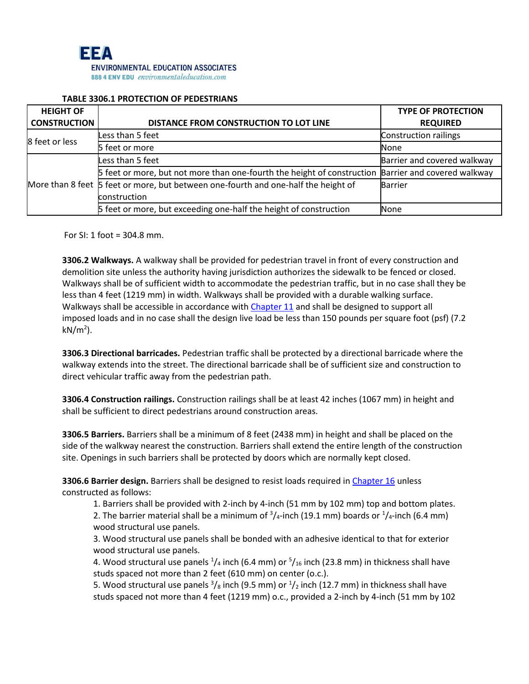

#### **TABLE 3306.1 PROTECTION OF PEDESTRIANS**

| <b>HEIGHT OF</b>    |                                                                                                     | <b>TYPE OF PROTECTION</b>    |
|---------------------|-----------------------------------------------------------------------------------------------------|------------------------------|
| <b>CONSTRUCTION</b> | DISTANCE FROM CONSTRUCTION TO LOT LINE                                                              | <b>REQUIRED</b>              |
| 8 feet or less      | Less than 5 feet                                                                                    | <b>Construction railings</b> |
|                     | 5 feet or more                                                                                      | None                         |
|                     | Less than 5 feet                                                                                    | Barrier and covered walkway  |
|                     | 5 feet or more, but not more than one-fourth the height of construction Barrier and covered walkway |                              |
|                     | More than 8 feet 5 feet or more, but between one-fourth and one-half the height of                  | <b>Barrier</b>               |
|                     | construction                                                                                        |                              |
|                     | 5 feet or more, but exceeding one-half the height of construction                                   | None                         |

For SI: 1 foot = 304.8 mm.

**3306.2 Walkways.** A walkway shall be provided for pedestrian travel in front of every construction and demolition site unless the authority having jurisdiction authorizes the sidewalk to be fenced or closed. Walkways shall be of sufficient width to accommodate the pedestrian traffic, but in no case shall they be less than 4 feet (1219 mm) in width. Walkways shall be provided with a durable walking surface. Walkways shall be accessible in accordance wit[h Chapter 11](javascript:Next() and shall be designed to support all imposed loads and in no case shall the design live load be less than 150 pounds per square foot (psf) (7.2 kN/m<sup>2</sup>).

**3306.3 Directional barricades.** Pedestrian traffic shall be protected by a directional barricade where the walkway extends into the street. The directional barricade shall be of sufficient size and construction to direct vehicular traffic away from the pedestrian path.

**3306.4 Construction railings.** Construction railings shall be at least 42 inches (1067 mm) in height and shall be sufficient to direct pedestrians around construction areas.

**3306.5 Barriers.** Barriers shall be a minimum of 8 feet (2438 mm) in height and shall be placed on the side of the walkway nearest the construction. Barriers shall extend the entire length of the construction site. Openings in such barriers shall be protected by doors which are normally kept closed.

**3306.6 Barrier design.** Barriers shall be designed to resist loads required in [Chapter 16](javascript:Next() unless constructed as follows:

1. Barriers shall be provided with 2-inch by 4-inch (51 mm by 102 mm) top and bottom plates. 2. The barrier material shall be a minimum of  $\frac{3}{4}$ -inch (19.1 mm) boards or  $\frac{1}{4}$ -inch (6.4 mm) wood structural use panels.

3. Wood structural use panels shall be bonded with an adhesive identical to that for exterior wood structural use panels.

4. Wood structural use panels  $\frac{1}{4}$  inch (6.4 mm) or  $\frac{5}{16}$  inch (23.8 mm) in thickness shall have studs spaced not more than 2 feet (610 mm) on center (o.c.).

5. Wood structural use panels  $\frac{3}{s}$  inch (9.5 mm) or  $\frac{1}{2}$  inch (12.7 mm) in thickness shall have studs spaced not more than 4 feet (1219 mm) o.c., provided a 2-inch by 4-inch (51 mm by 102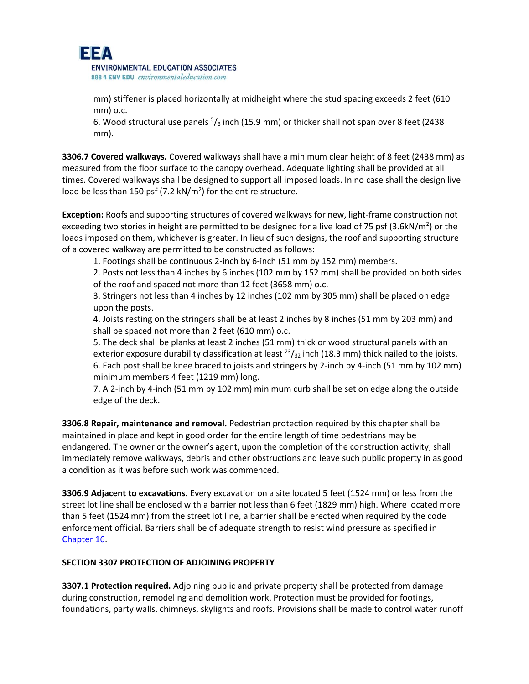

888 4 ENV EDU environmentaleducation.com

mm) stiffener is placed horizontally at midheight where the stud spacing exceeds 2 feet (610 mm) o.c.

6. Wood structural use panels  $\frac{5}{8}$  inch (15.9 mm) or thicker shall not span over 8 feet (2438 mm).

**3306.7 Covered walkways.** Covered walkways shall have a minimum clear height of 8 feet (2438 mm) as measured from the floor surface to the canopy overhead. Adequate lighting shall be provided at all times. Covered walkways shall be designed to support all imposed loads. In no case shall the design live load be less than 150 psf (7.2  $kN/m^2$ ) for the entire structure.

**Exception:** Roofs and supporting structures of covered walkways for new, light-frame construction not exceeding two stories in height are permitted to be designed for a live load of 75 psf (3.6kN/m<sup>2</sup>) or the loads imposed on them, whichever is greater. In lieu of such designs, the roof and supporting structure of a covered walkway are permitted to be constructed as follows:

1. Footings shall be continuous 2-inch by 6-inch (51 mm by 152 mm) members.

2. Posts not less than 4 inches by 6 inches (102 mm by 152 mm) shall be provided on both sides of the roof and spaced not more than 12 feet (3658 mm) o.c.

3. Stringers not less than 4 inches by 12 inches (102 mm by 305 mm) shall be placed on edge upon the posts.

4. Joists resting on the stringers shall be at least 2 inches by 8 inches (51 mm by 203 mm) and shall be spaced not more than 2 feet (610 mm) o.c.

5. The deck shall be planks at least 2 inches (51 mm) thick or wood structural panels with an exterior exposure durability classification at least  $^{23}/_{32}$  inch (18.3 mm) thick nailed to the joists. 6. Each post shall be knee braced to joists and stringers by 2-inch by 4-inch (51 mm by 102 mm) minimum members 4 feet (1219 mm) long.

7. A 2-inch by 4-inch (51 mm by 102 mm) minimum curb shall be set on edge along the outside edge of the deck.

**3306.8 Repair, maintenance and removal.** Pedestrian protection required by this chapter shall be maintained in place and kept in good order for the entire length of time pedestrians may be endangered. The owner or the owner's agent, upon the completion of the construction activity, shall immediately remove walkways, debris and other obstructions and leave such public property in as good a condition as it was before such work was commenced.

**3306.9 Adjacent to excavations.** Every excavation on a site located 5 feet (1524 mm) or less from the street lot line shall be enclosed with a barrier not less than 6 feet (1829 mm) high. Where located more than 5 feet (1524 mm) from the street lot line, a barrier shall be erected when required by the code enforcement official. Barriers shall be of adequate strength to resist wind pressure as specified in [Chapter 16.](javascript:Next()

## **SECTION 3307 PROTECTION OF ADJOINING PROPERTY**

**3307.1 Protection required.** Adjoining public and private property shall be protected from damage during construction, remodeling and demolition work. Protection must be provided for footings, foundations, party walls, chimneys, skylights and roofs. Provisions shall be made to control water runoff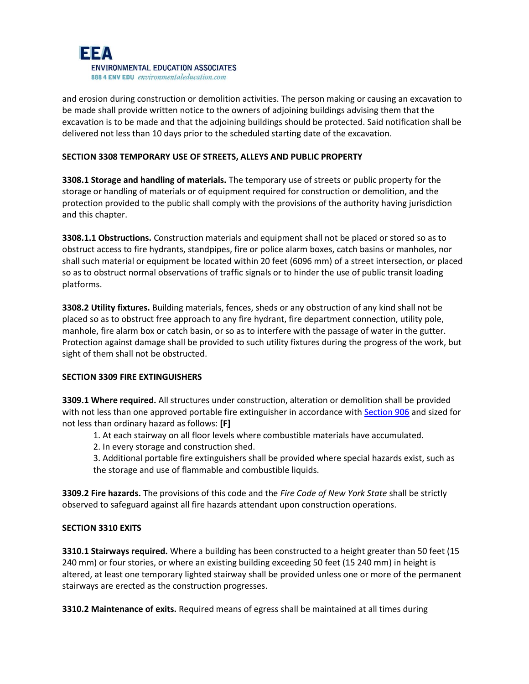

and erosion during construction or demolition activities. The person making or causing an excavation to be made shall provide written notice to the owners of adjoining buildings advising them that the excavation is to be made and that the adjoining buildings should be protected. Said notification shall be delivered not less than 10 days prior to the scheduled starting date of the excavation.

### **SECTION 3308 TEMPORARY USE OF STREETS' ALLEYS AND PUBLIC PROPERTY**

**3308.1 Storage and handling of materials.** The temporary use of streets or public property for the storage or handling of materials or of equipment required for construction or demolition, and the protection provided to the public shall comply with the provisions of the authority having jurisdiction and this chapter.

**3308.1.1 Obstructions.** Construction materials and equipment shall not be placed or stored so as to obstruct access to fire hydrants, standpipes, fire or police alarm boxes, catch basins or manholes, nor shall such material or equipment be located within 20 feet (6096 mm) of a street intersection, or placed so as to obstruct normal observations of traffic signals or to hinder the use of public transit loading platforms.

**3308.2 Utility fixtures.** Building materials, fences, sheds or any obstruction of any kind shall not be placed so as to obstruct free approach to any fire hydrant, fire department connection, utility pole, manhole, fire alarm box or catch basin, or so as to interfere with the passage of water in the gutter. Protection against damage shall be provided to such utility fixtures during the progress of the work, but sight of them shall not be obstructed.

#### **SECTION 3309 FIRE EXTINGUISHERS**

**3309.1 Where required.** All structures under construction, alteration or demolition shall be provided with not less than one approved portable fire extinguisher in accordance wit[h Section 906](javascript:Next() and sized for not less than ordinary hazard as follows: **[F]**

1. At each stairway on all floor levels where combustible materials have accumulated.

2. In every storage and construction shed.

3. Additional portable fire extinguishers shall be provided where special hazards exist, such as the storage and use of flammable and combustible liquids.

**3309.2 Fire hazards.** The provisions of this code and the *Fire Code of New York State* shall be strictly observed to safeguard against all fire hazards attendant upon construction operations.

#### **SECTION 3310 EXITS**

**3310.1 Stairways required.** Where a building has been constructed to a height greater than 50 feet (15 240 mm) or four stories, or where an existing building exceeding 50 feet (15 240 mm) in height is altered, at least one temporary lighted stairway shall be provided unless one or more of the permanent stairways are erected as the construction progresses.

**3310.2 Maintenance of exits.** Required means of egress shall be maintained at all times during